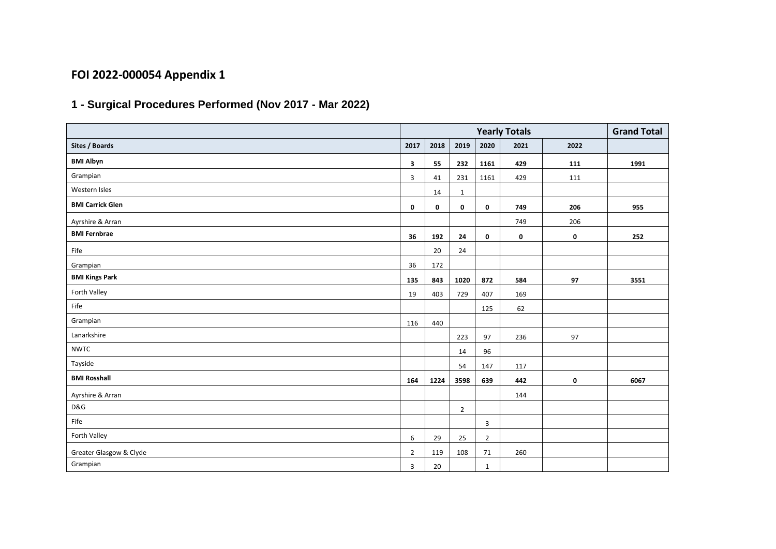## **FOI 2022-000054 Appendix 1**

## **1 - Surgical Procedures Performed (Nov 2017 - Mar 2022)**

|                         |                |             | <b>Grand Total</b> |                |           |             |      |
|-------------------------|----------------|-------------|--------------------|----------------|-----------|-------------|------|
| Sites / Boards          | 2017           | 2018        | 2019               | 2020           | 2021      | 2022        |      |
| <b>BMI Albyn</b>        | 3              | 55          | 232                | 1161           | 429       | 111         | 1991 |
| Grampian                | 3              | 41          | 231                | 1161           | 429       | 111         |      |
| Western Isles           |                | 14          | 1                  |                |           |             |      |
| <b>BMI Carrick Glen</b> | $\mathbf 0$    | $\mathbf 0$ | $\mathbf 0$        | $\mathbf 0$    | 749       | 206         | 955  |
| Ayrshire & Arran        |                |             |                    |                | 749       | 206         |      |
| <b>BMI Fernbrae</b>     | 36             | 192         | 24                 | 0              | $\pmb{0}$ | $\mathbf 0$ | 252  |
| Fife                    |                | 20          | 24                 |                |           |             |      |
| Grampian                | 36             | 172         |                    |                |           |             |      |
| <b>BMI Kings Park</b>   | 135            | 843         | 1020               | 872            | 584       | 97          | 3551 |
| Forth Valley            | 19             | 403         | 729                | 407            | 169       |             |      |
| Fife                    |                |             |                    | 125            | 62        |             |      |
| Grampian                | 116            | 440         |                    |                |           |             |      |
| Lanarkshire             |                |             | 223                | 97             | 236       | 97          |      |
| <b>NWTC</b>             |                |             | 14                 | 96             |           |             |      |
| Tayside                 |                |             | 54                 | 147            | 117       |             |      |
| <b>BMI Rosshall</b>     | 164            | 1224        | 3598               | 639            | 442       | 0           | 6067 |
| Ayrshire & Arran        |                |             |                    |                | 144       |             |      |
| D&G                     |                |             | $\overline{2}$     |                |           |             |      |
| Fife                    |                |             |                    | 3              |           |             |      |
| Forth Valley            | 6              | 29          | 25                 | $\overline{2}$ |           |             |      |
| Greater Glasgow & Clyde | $\overline{2}$ | 119         | 108                | 71             | 260       |             |      |
| Grampian                | 3              | 20          |                    | $\mathbf{1}$   |           |             |      |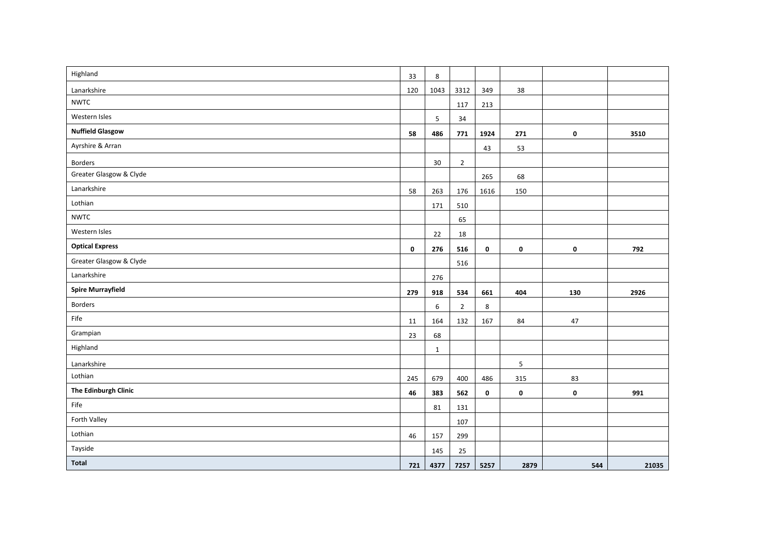| Highland                 | 33          | 8            |                |             |             |     |       |
|--------------------------|-------------|--------------|----------------|-------------|-------------|-----|-------|
| Lanarkshire              | 120         | 1043         | 3312           | 349         | 38          |     |       |
| <b>NWTC</b>              |             |              | 117            | 213         |             |     |       |
| Western Isles            |             | 5            | 34             |             |             |     |       |
| <b>Nuffield Glasgow</b>  | 58          | 486          | 771            | 1924        | 271         | 0   | 3510  |
| Ayrshire & Arran         |             |              |                | 43          | 53          |     |       |
| Borders                  |             | 30           | $\overline{2}$ |             |             |     |       |
| Greater Glasgow & Clyde  |             |              |                | 265         | 68          |     |       |
| Lanarkshire              | 58          | 263          | 176            | 1616        | 150         |     |       |
| Lothian                  |             | 171          | 510            |             |             |     |       |
| <b>NWTC</b>              |             |              | 65             |             |             |     |       |
| Western Isles            |             | 22           | 18             |             |             |     |       |
| <b>Optical Express</b>   | $\mathbf 0$ | 276          | 516            | $\mathbf 0$ | 0           | 0   | 792   |
| Greater Glasgow & Clyde  |             |              | 516            |             |             |     |       |
| Lanarkshire              |             | 276          |                |             |             |     |       |
| <b>Spire Murrayfield</b> | 279         | 918          | 534            | 661         | 404         | 130 | 2926  |
| Borders                  |             | 6            | $\overline{2}$ | 8           |             |     |       |
| Fife                     | 11          | 164          | 132            | 167         | 84          | 47  |       |
| Grampian                 | 23          | 68           |                |             |             |     |       |
| Highland                 |             | $\mathbf{1}$ |                |             |             |     |       |
| Lanarkshire              |             |              |                |             | $\mathsf S$ |     |       |
| Lothian                  | 245         | 679          | 400            | 486         | 315         | 83  |       |
| The Edinburgh Clinic     | 46          | 383          | 562            | $\mathbf 0$ | 0           | 0   | 991   |
| Fife                     |             | 81           | 131            |             |             |     |       |
| Forth Valley             |             |              | 107            |             |             |     |       |
| Lothian                  | 46          | 157          | 299            |             |             |     |       |
| Tayside                  |             | 145          | 25             |             |             |     |       |
| Total                    | 721         | 4377         | 7257           | 5257        | 2879        | 544 | 21035 |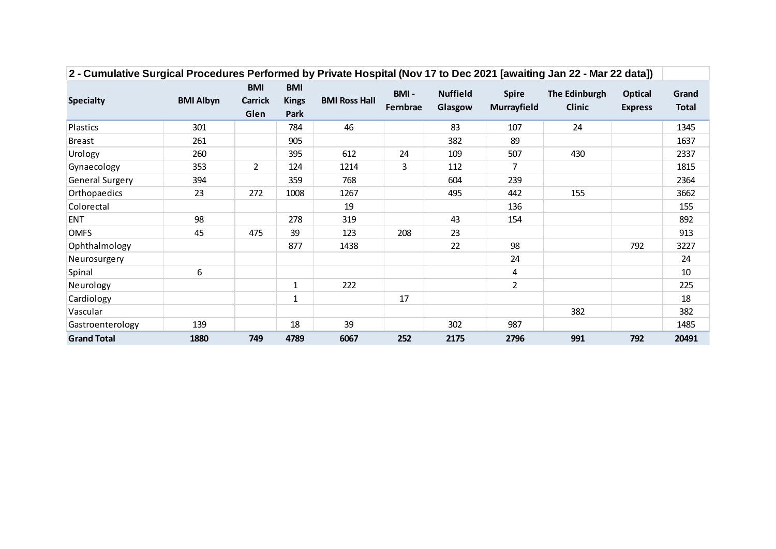|                    |                  | <b>BMI</b>     | <b>BMI</b>   | <b>BMI Ross Hall</b> | BMI-     | <b>Nuffield</b> |                |               | <b>Optical</b><br><b>Express</b> | Grand<br><b>Total</b> |
|--------------------|------------------|----------------|--------------|----------------------|----------|-----------------|----------------|---------------|----------------------------------|-----------------------|
| <b>Specialty</b>   | <b>BMI Albyn</b> | <b>Carrick</b> | <b>Kings</b> |                      |          |                 | <b>Spire</b>   | The Edinburgh |                                  |                       |
|                    |                  | Glen           | Park         |                      | Fernbrae | Glasgow         | Murrayfield    | <b>Clinic</b> |                                  |                       |
| Plastics           | 301              |                | 784          | 46                   |          | 83              | 107            | 24            |                                  | 1345                  |
| <b>Breast</b>      | 261              |                | 905          |                      |          | 382             | 89             |               |                                  | 1637                  |
| Urology            | 260              |                | 395          | 612                  | 24       | 109             | 507            | 430           |                                  | 2337                  |
| Gynaecology        | 353              | $\overline{2}$ | 124          | 1214                 | 3        | 112             | $\overline{7}$ |               |                                  | 1815                  |
| General Surgery    | 394              |                | 359          | 768                  |          | 604             | 239            |               |                                  | 2364                  |
| Orthopaedics       | 23               | 272            | 1008         | 1267                 |          | 495             | 442            | 155           |                                  | 3662                  |
| Colorectal         |                  |                |              | 19                   |          |                 | 136            |               |                                  | 155                   |
| <b>ENT</b>         | 98               |                | 278          | 319                  |          | 43              | 154            |               |                                  | 892                   |
| <b>OMFS</b>        | 45               | 475            | 39           | 123                  | 208      | 23              |                |               |                                  | 913                   |
| Ophthalmology      |                  |                | 877          | 1438                 |          | 22              | 98             |               | 792                              | 3227                  |
| Neurosurgery       |                  |                |              |                      |          |                 | 24             |               |                                  | 24                    |
| Spinal             | 6                |                |              |                      |          |                 | 4              |               |                                  | 10                    |
| Neurology          |                  |                | $\mathbf{1}$ | 222                  |          |                 | $\overline{2}$ |               |                                  | 225                   |
| Cardiology         |                  |                | $\mathbf{1}$ |                      | 17       |                 |                |               |                                  | 18                    |
| Vascular           |                  |                |              |                      |          |                 |                | 382           |                                  | 382                   |
| Gastroenterology   | 139              |                | 18           | 39                   |          | 302             | 987            |               |                                  | 1485                  |
| <b>Grand Total</b> | 1880             | 749            | 4789         | 6067                 | 252      | 2175            | 2796           | 991           | 792                              | 20491                 |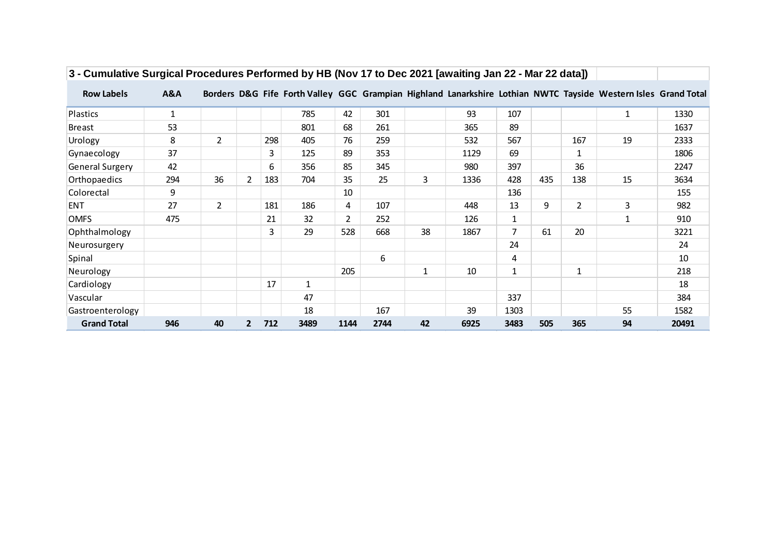| <b>Row Labels</b>      | A&A          |                |                |     |              |                |      |              |      |                |     |                | Borders D&G Fife Forth Valley GGC Grampian Highland Lanarkshire Lothian NWTC Tayside Western Isles Grand Total |       |
|------------------------|--------------|----------------|----------------|-----|--------------|----------------|------|--------------|------|----------------|-----|----------------|----------------------------------------------------------------------------------------------------------------|-------|
| Plastics               | $\mathbf{1}$ |                |                |     | 785          | 42             | 301  |              | 93   | 107            |     |                | 1                                                                                                              | 1330  |
| <b>Breast</b>          | 53           |                |                |     | 801          | 68             | 261  |              | 365  | 89             |     |                |                                                                                                                | 1637  |
| Urology                | 8            | $\overline{2}$ |                | 298 | 405          | 76             | 259  |              | 532  | 567            |     | 167            | 19                                                                                                             | 2333  |
| Gynaecology            | 37           |                |                | 3   | 125          | 89             | 353  |              | 1129 | 69             |     | 1              |                                                                                                                | 1806  |
| <b>General Surgery</b> | 42           |                |                | 6   | 356          | 85             | 345  |              | 980  | 397            |     | 36             |                                                                                                                | 2247  |
| Orthopaedics           | 294          | 36             | $\overline{2}$ | 183 | 704          | 35             | 25   | 3            | 1336 | 428            | 435 | 138            | 15                                                                                                             | 3634  |
| Colorectal             | 9            |                |                |     |              | 10             |      |              |      | 136            |     |                |                                                                                                                | 155   |
| <b>ENT</b>             | 27           | $\overline{2}$ |                | 181 | 186          | 4              | 107  |              | 448  | 13             | 9   | $\overline{2}$ | 3                                                                                                              | 982   |
| <b>OMFS</b>            | 475          |                |                | 21  | 32           | $\overline{2}$ | 252  |              | 126  | 1              |     |                |                                                                                                                | 910   |
| Ophthalmology          |              |                |                | 3   | 29           | 528            | 668  | 38           | 1867 | $\overline{7}$ | 61  | 20             |                                                                                                                | 3221  |
| Neurosurgery           |              |                |                |     |              |                |      |              |      | 24             |     |                |                                                                                                                | 24    |
| Spinal                 |              |                |                |     |              |                | 6    |              |      | 4              |     |                |                                                                                                                | 10    |
| Neurology              |              |                |                |     |              | 205            |      | $\mathbf{1}$ | 10   | 1              |     | 1              |                                                                                                                | 218   |
| Cardiology             |              |                |                | 17  | $\mathbf{1}$ |                |      |              |      |                |     |                |                                                                                                                | 18    |
| Vascular               |              |                |                |     | 47           |                |      |              |      | 337            |     |                |                                                                                                                | 384   |
| Gastroenterology       |              |                |                |     | 18           |                | 167  |              | 39   | 1303           |     |                | 55                                                                                                             | 1582  |
| <b>Grand Total</b>     | 946          | 40             | $\overline{2}$ | 712 | 3489         | 1144           | 2744 | 42           | 6925 | 3483           | 505 | 365            | 94                                                                                                             | 20491 |

## **3 - Cumulative Surgical Procedures Performed by HB (Nov 17 to Dec 2021 [awaiting Jan 22 - Mar 22 data])**